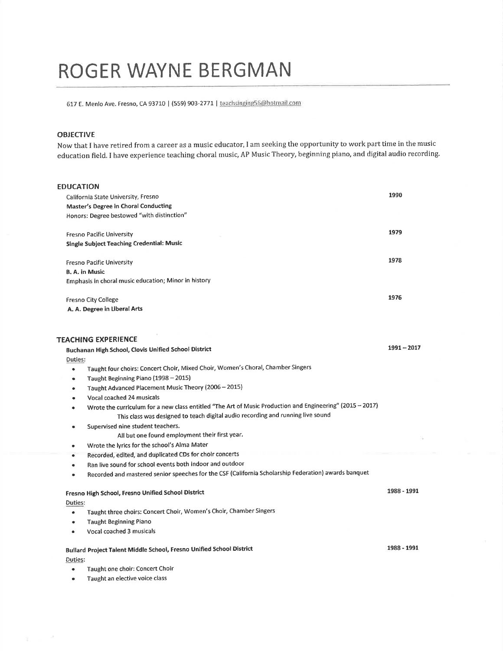# ROGER WAYNE BERGMAN

617 E. Menlo Ave. Fresno, CA 93710 | (559) 903-2771 | teachsinging56@hotmail.com

## OBJECTIVE

 $\sim$  100  $\mu$ 

Now that I have retired from a career as a music educator, I am seeking the opportunity to work part time in the music education field. I have experience teaching choral music, AP Music Theory, beginning piano, and digital audio recording,

| <b>EDUCATION</b>                                                                                                       |               |
|------------------------------------------------------------------------------------------------------------------------|---------------|
|                                                                                                                        | 1990          |
| California State University, Fresno                                                                                    |               |
| Master's Degree in Choral Conducting                                                                                   |               |
| Honors: Degree bestowed "with distinction"                                                                             |               |
| <b>Fresno Pacific University</b>                                                                                       | 1979          |
| <b>Single Subject Teaching Credential: Music</b>                                                                       |               |
|                                                                                                                        |               |
| <b>Fresno Pacific University</b>                                                                                       | 1978          |
| <b>B. A. in Music</b>                                                                                                  |               |
| Emphasis in choral music education; Minor in history                                                                   |               |
| <b>Fresno City College</b>                                                                                             | 1976          |
| A. A. Degree in Liberal Arts                                                                                           |               |
|                                                                                                                        |               |
|                                                                                                                        |               |
| <b>TEACHING EXPERIENCE</b>                                                                                             |               |
| Buchanan High School, Clovis Unified School District                                                                   | $1991 - 2017$ |
| Duties:                                                                                                                |               |
| Taught four choirs: Concert Choir, Mixed Choir, Women's Choral, Chamber Singers<br>۰                                   |               |
| Taught Beginning Piano (1998 - 2015)                                                                                   |               |
| Taught Advanced Placement Music Theory (2006 - 2015)<br>٠                                                              |               |
| Vocal coached 24 musicals<br>$\bullet$                                                                                 |               |
| Wrote the curriculum for a new class entitled "The Art of Music Production and Engineering" (2015 - 2017)<br>$\bullet$ |               |
| This class was designed to teach digital audio recording and running live sound                                        |               |
| Supervised nine student teachers.<br>٠                                                                                 |               |
| All but one found employment their first year.                                                                         |               |
| Wrote the lyrics for the school's Alma Mater<br>۰                                                                      |               |
| Recorded, edited, and duplicated CDs for choir concerts<br>۰                                                           |               |
| Ran live sound for school events both indoor and outdoor                                                               |               |
| Recorded and mastered senior speeches for the CSF (California Scholarship Federation) awards banquet<br>$\bullet$      |               |
| Fresno High School, Fresno Unified School District                                                                     | 1988 - 1991   |
| <b>Duties:</b>                                                                                                         |               |
| Taught three choirs: Concert Choir, Women's Choir, Chamber Singers<br>$\bullet$                                        |               |
| <b>Taught Beginning Piano</b><br>٠                                                                                     |               |
| Vocal coached 3 musicals<br>۰                                                                                          |               |
|                                                                                                                        | 1988 - 1991   |
| Bullard Project Talent Middle School, Fresno Unified School District                                                   |               |
| Duties:                                                                                                                |               |
| Taught one choir: Concert Choir<br>٠                                                                                   |               |
| Taught an elective voice class<br>$\bullet$                                                                            |               |